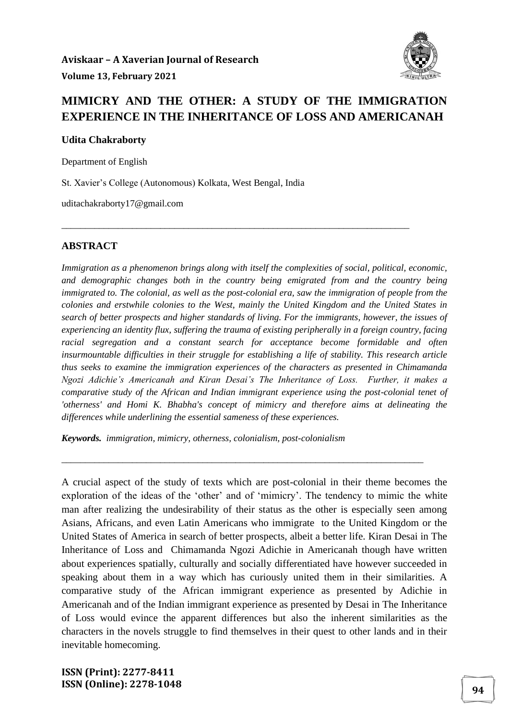

## **MIMICRY AND THE OTHER: A STUDY OF THE IMMIGRATION EXPERIENCE IN THE INHERITANCE OF LOSS AND AMERICANAH**

\_\_\_\_\_\_\_\_\_\_\_\_\_\_\_\_\_\_\_\_\_\_\_\_\_\_\_\_\_\_\_\_\_\_\_\_\_\_\_\_\_\_\_\_\_\_\_\_\_\_\_\_\_\_\_\_\_\_\_\_\_\_\_\_\_\_\_\_\_\_\_\_\_\_

**Udita Chakraborty** 

Department of English

St. Xavier's College (Autonomous) Kolkata, West Bengal, India

uditachakraborty17@gmail.com

#### **ABSTRACT**

*Immigration as a phenomenon brings along with itself the complexities of social, political, economic, and demographic changes both in the country being emigrated from and the country being immigrated to. The colonial, as well as the post-colonial era, saw the immigration of people from the colonies and erstwhile colonies to the West, mainly the United Kingdom and the United States in search of better prospects and higher standards of living. For the immigrants, however, the issues of experiencing an identity flux, suffering the trauma of existing peripherally in a foreign country, facing racial segregation and a constant search for acceptance become formidable and often insurmountable difficulties in their struggle for establishing a life of stability. This research article thus seeks to examine the immigration experiences of the characters as presented in Chimamanda Ngozi Adichie's Americanah and Kiran Desai's The Inheritance of Loss. Further, it makes a comparative study of the African and Indian immigrant experience using the post-colonial tenet of 'otherness' and Homi K. Bhabha's concept of mimicry and therefore aims at delineating the differences while underlining the essential sameness of these experiences.* 

*Keywords. immigration, mimicry, otherness, colonialism, post-colonialism*

A crucial aspect of the study of texts which are post-colonial in their theme becomes the exploration of the ideas of the 'other' and of 'mimicry'. The tendency to mimic the white man after realizing the undesirability of their status as the other is especially seen among Asians, Africans, and even Latin Americans who immigrate to the United Kingdom or the United States of America in search of better prospects, albeit a better life. Kiran Desai in The Inheritance of Loss and Chimamanda Ngozi Adichie in Americanah though have written about experiences spatially, culturally and socially differentiated have however succeeded in speaking about them in a way which has curiously united them in their similarities. A comparative study of the African immigrant experience as presented by Adichie in Americanah and of the Indian immigrant experience as presented by Desai in The Inheritance of Loss would evince the apparent differences but also the inherent similarities as the characters in the novels struggle to find themselves in their quest to other lands and in their inevitable homecoming.

\_\_\_\_\_\_\_\_\_\_\_\_\_\_\_\_\_\_\_\_\_\_\_\_\_\_\_\_\_\_\_\_\_\_\_\_\_\_\_\_\_\_\_\_\_\_\_\_\_\_\_\_\_\_\_\_\_\_\_\_\_\_\_\_\_\_\_\_\_\_\_\_\_\_\_\_\_

**ISSN (Print): 2277-8411 ISSN (Online): 2278-1048 94**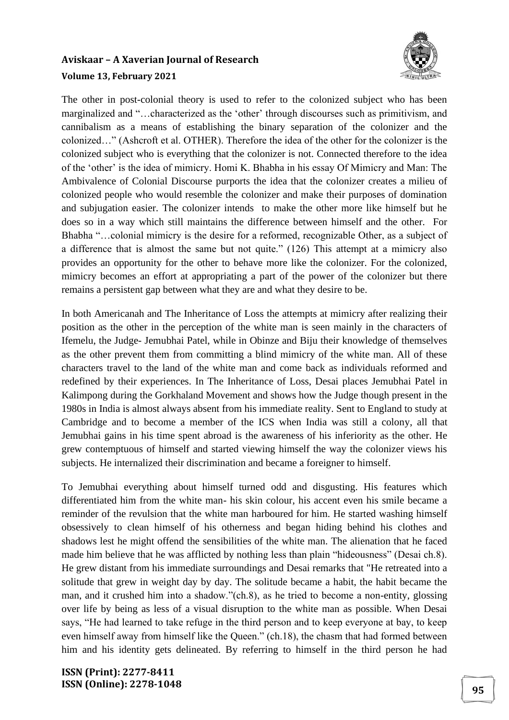

The other in post-colonial theory is used to refer to the colonized subject who has been marginalized and "…characterized as the 'other' through discourses such as primitivism, and cannibalism as a means of establishing the binary separation of the colonizer and the colonized…" (Ashcroft et al. OTHER). Therefore the idea of the other for the colonizer is the colonized subject who is everything that the colonizer is not. Connected therefore to the idea of the 'other' is the idea of mimicry. Homi K. Bhabha in his essay Of Mimicry and Man: The Ambivalence of Colonial Discourse purports the idea that the colonizer creates a milieu of colonized people who would resemble the colonizer and make their purposes of domination and subjugation easier. The colonizer intends to make the other more like himself but he does so in a way which still maintains the difference between himself and the other. For Bhabha "…colonial mimicry is the desire for a reformed, recognizable Other, as a subject of a difference that is almost the same but not quite." (126) This attempt at a mimicry also provides an opportunity for the other to behave more like the colonizer. For the colonized, mimicry becomes an effort at appropriating a part of the power of the colonizer but there remains a persistent gap between what they are and what they desire to be.

In both Americanah and The Inheritance of Loss the attempts at mimicry after realizing their position as the other in the perception of the white man is seen mainly in the characters of Ifemelu, the Judge- Jemubhai Patel, while in Obinze and Biju their knowledge of themselves as the other prevent them from committing a blind mimicry of the white man. All of these characters travel to the land of the white man and come back as individuals reformed and redefined by their experiences. In The Inheritance of Loss, Desai places Jemubhai Patel in Kalimpong during the Gorkhaland Movement and shows how the Judge though present in the 1980s in India is almost always absent from his immediate reality. Sent to England to study at Cambridge and to become a member of the ICS when India was still a colony, all that Jemubhai gains in his time spent abroad is the awareness of his inferiority as the other. He grew contemptuous of himself and started viewing himself the way the colonizer views his subjects. He internalized their discrimination and became a foreigner to himself.

To Jemubhai everything about himself turned odd and disgusting. His features which differentiated him from the white man- his skin colour, his accent even his smile became a reminder of the revulsion that the white man harboured for him. He started washing himself obsessively to clean himself of his otherness and began hiding behind his clothes and shadows lest he might offend the sensibilities of the white man. The alienation that he faced made him believe that he was afflicted by nothing less than plain "hideousness" (Desai ch.8). He grew distant from his immediate surroundings and Desai remarks that "He retreated into a solitude that grew in weight day by day. The solitude became a habit, the habit became the man, and it crushed him into a shadow."(ch.8), as he tried to become a non-entity, glossing over life by being as less of a visual disruption to the white man as possible. When Desai says, "He had learned to take refuge in the third person and to keep everyone at bay, to keep even himself away from himself like the Queen." (ch.18), the chasm that had formed between him and his identity gets delineated. By referring to himself in the third person he had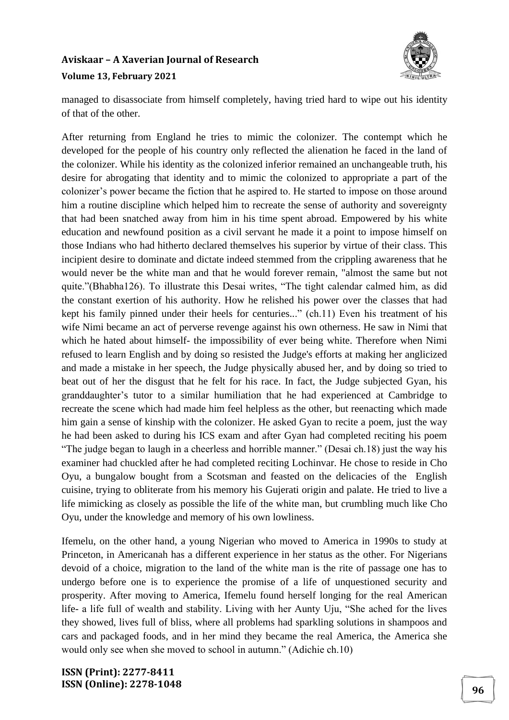

managed to disassociate from himself completely, having tried hard to wipe out his identity of that of the other.

After returning from England he tries to mimic the colonizer. The contempt which he developed for the people of his country only reflected the alienation he faced in the land of the colonizer. While his identity as the colonized inferior remained an unchangeable truth, his desire for abrogating that identity and to mimic the colonized to appropriate a part of the colonizer's power became the fiction that he aspired to. He started to impose on those around him a routine discipline which helped him to recreate the sense of authority and sovereignty that had been snatched away from him in his time spent abroad. Empowered by his white education and newfound position as a civil servant he made it a point to impose himself on those Indians who had hitherto declared themselves his superior by virtue of their class. This incipient desire to dominate and dictate indeed stemmed from the crippling awareness that he would never be the white man and that he would forever remain, "almost the same but not quite."(Bhabha126). To illustrate this Desai writes, "The tight calendar calmed him, as did the constant exertion of his authority. How he relished his power over the classes that had kept his family pinned under their heels for centuries..." (ch.11) Even his treatment of his wife Nimi became an act of perverse revenge against his own otherness. He saw in Nimi that which he hated about himself- the impossibility of ever being white. Therefore when Nimi refused to learn English and by doing so resisted the Judge's efforts at making her anglicized and made a mistake in her speech, the Judge physically abused her, and by doing so tried to beat out of her the disgust that he felt for his race. In fact, the Judge subjected Gyan, his granddaughter's tutor to a similar humiliation that he had experienced at Cambridge to recreate the scene which had made him feel helpless as the other, but reenacting which made him gain a sense of kinship with the colonizer. He asked Gyan to recite a poem, just the way he had been asked to during his ICS exam and after Gyan had completed reciting his poem "The judge began to laugh in a cheerless and horrible manner." (Desai ch.18) just the way his examiner had chuckled after he had completed reciting Lochinvar. He chose to reside in Cho Oyu, a bungalow bought from a Scotsman and feasted on the delicacies of the English cuisine, trying to obliterate from his memory his Gujerati origin and palate. He tried to live a life mimicking as closely as possible the life of the white man, but crumbling much like Cho Oyu, under the knowledge and memory of his own lowliness.

Ifemelu, on the other hand, a young Nigerian who moved to America in 1990s to study at Princeton, in Americanah has a different experience in her status as the other. For Nigerians devoid of a choice, migration to the land of the white man is the rite of passage one has to undergo before one is to experience the promise of a life of unquestioned security and prosperity. After moving to America, Ifemelu found herself longing for the real American life- a life full of wealth and stability. Living with her Aunty Uju, "She ached for the lives they showed, lives full of bliss, where all problems had sparkling solutions in shampoos and cars and packaged foods, and in her mind they became the real America, the America she would only see when she moved to school in autumn." (Adichie ch.10)

**ISSN (Print): 2277-8411 ISSN (Online): 2278-1048 96**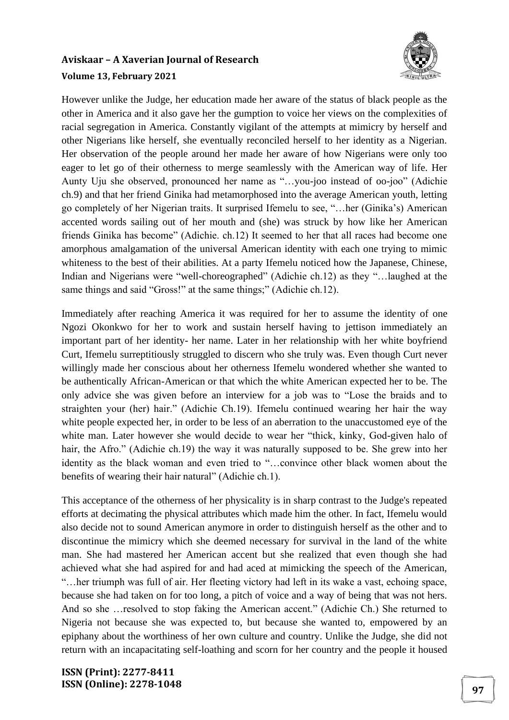

However unlike the Judge, her education made her aware of the status of black people as the other in America and it also gave her the gumption to voice her views on the complexities of racial segregation in America. Constantly vigilant of the attempts at mimicry by herself and other Nigerians like herself, she eventually reconciled herself to her identity as a Nigerian. Her observation of the people around her made her aware of how Nigerians were only too eager to let go of their otherness to merge seamlessly with the American way of life. Her Aunty Uju she observed, pronounced her name as "…you-joo instead of oo-joo" (Adichie ch.9) and that her friend Ginika had metamorphosed into the average American youth, letting go completely of her Nigerian traits. It surprised Ifemelu to see, "…her (Ginika's) American accented words sailing out of her mouth and (she) was struck by how like her American friends Ginika has become" (Adichie. ch.12) It seemed to her that all races had become one amorphous amalgamation of the universal American identity with each one trying to mimic whiteness to the best of their abilities. At a party Ifemelu noticed how the Japanese, Chinese, Indian and Nigerians were "well-choreographed" (Adichie ch.12) as they "…laughed at the same things and said "Gross!" at the same things;" (Adichie ch.12).

Immediately after reaching America it was required for her to assume the identity of one Ngozi Okonkwo for her to work and sustain herself having to jettison immediately an important part of her identity- her name. Later in her relationship with her white boyfriend Curt, Ifemelu surreptitiously struggled to discern who she truly was. Even though Curt never willingly made her conscious about her otherness Ifemelu wondered whether she wanted to be authentically African-American or that which the white American expected her to be. The only advice she was given before an interview for a job was to "Lose the braids and to straighten your (her) hair." (Adichie Ch.19). Ifemelu continued wearing her hair the way white people expected her, in order to be less of an aberration to the unaccustomed eye of the white man. Later however she would decide to wear her "thick, kinky, God-given halo of hair, the Afro." (Adichie ch.19) the way it was naturally supposed to be. She grew into her identity as the black woman and even tried to "…convince other black women about the benefits of wearing their hair natural" (Adichie ch.1).

This acceptance of the otherness of her physicality is in sharp contrast to the Judge's repeated efforts at decimating the physical attributes which made him the other. In fact, Ifemelu would also decide not to sound American anymore in order to distinguish herself as the other and to discontinue the mimicry which she deemed necessary for survival in the land of the white man. She had mastered her American accent but she realized that even though she had achieved what she had aspired for and had aced at mimicking the speech of the American, "…her triumph was full of air. Her fleeting victory had left in its wake a vast, echoing space, because she had taken on for too long, a pitch of voice and a way of being that was not hers. And so she …resolved to stop faking the American accent." (Adichie Ch.) She returned to Nigeria not because she was expected to, but because she wanted to, empowered by an epiphany about the worthiness of her own culture and country. Unlike the Judge, she did not return with an incapacitating self-loathing and scorn for her country and the people it housed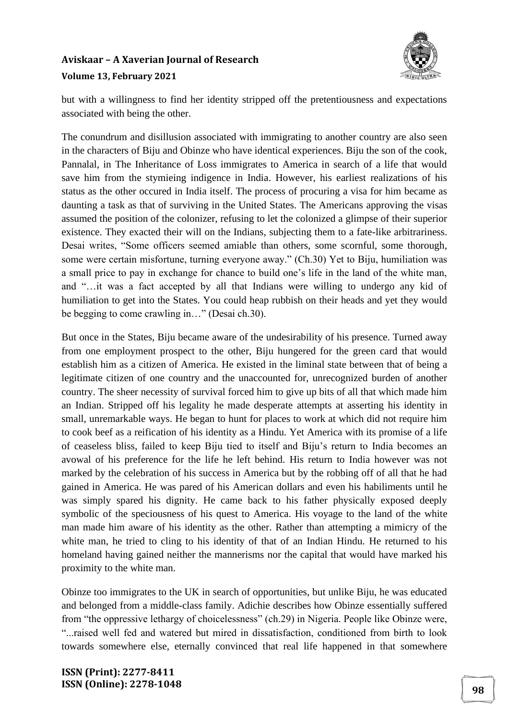

but with a willingness to find her identity stripped off the pretentiousness and expectations associated with being the other.

The conundrum and disillusion associated with immigrating to another country are also seen in the characters of Biju and Obinze who have identical experiences. Biju the son of the cook, Pannalal, in The Inheritance of Loss immigrates to America in search of a life that would save him from the stymieing indigence in India. However, his earliest realizations of his status as the other occured in India itself. The process of procuring a visa for him became as daunting a task as that of surviving in the United States. The Americans approving the visas assumed the position of the colonizer, refusing to let the colonized a glimpse of their superior existence. They exacted their will on the Indians, subjecting them to a fate-like arbitrariness. Desai writes, "Some officers seemed amiable than others, some scornful, some thorough, some were certain misfortune, turning everyone away." (Ch.30) Yet to Biju, humiliation was a small price to pay in exchange for chance to build one's life in the land of the white man, and "…it was a fact accepted by all that Indians were willing to undergo any kid of humiliation to get into the States. You could heap rubbish on their heads and yet they would be begging to come crawling in…" (Desai ch.30).

But once in the States, Biju became aware of the undesirability of his presence. Turned away from one employment prospect to the other, Biju hungered for the green card that would establish him as a citizen of America. He existed in the liminal state between that of being a legitimate citizen of one country and the unaccounted for, unrecognized burden of another country. The sheer necessity of survival forced him to give up bits of all that which made him an Indian. Stripped off his legality he made desperate attempts at asserting his identity in small, unremarkable ways. He began to hunt for places to work at which did not require him to cook beef as a reification of his identity as a Hindu. Yet America with its promise of a life of ceaseless bliss, failed to keep Biju tied to itself and Biju's return to India becomes an avowal of his preference for the life he left behind. His return to India however was not marked by the celebration of his success in America but by the robbing off of all that he had gained in America. He was pared of his American dollars and even his habiliments until he was simply spared his dignity. He came back to his father physically exposed deeply symbolic of the speciousness of his quest to America. His voyage to the land of the white man made him aware of his identity as the other. Rather than attempting a mimicry of the white man, he tried to cling to his identity of that of an Indian Hindu. He returned to his homeland having gained neither the mannerisms nor the capital that would have marked his proximity to the white man.

Obinze too immigrates to the UK in search of opportunities, but unlike Biju, he was educated and belonged from a middle-class family. Adichie describes how Obinze essentially suffered from "the oppressive lethargy of choicelessness" (ch.29) in Nigeria. People like Obinze were, "...raised well fed and watered but mired in dissatisfaction, conditioned from birth to look towards somewhere else, eternally convinced that real life happened in that somewhere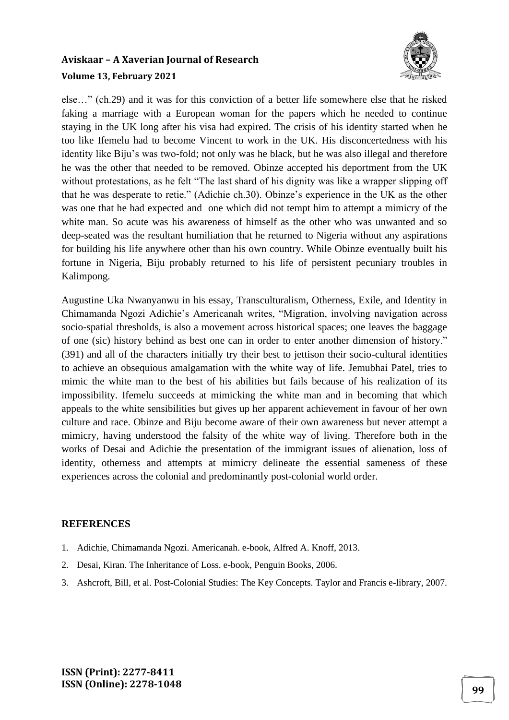

else…" (ch.29) and it was for this conviction of a better life somewhere else that he risked faking a marriage with a European woman for the papers which he needed to continue staying in the UK long after his visa had expired. The crisis of his identity started when he too like Ifemelu had to become Vincent to work in the UK. His disconcertedness with his identity like Biju's was two-fold; not only was he black, but he was also illegal and therefore he was the other that needed to be removed. Obinze accepted his deportment from the UK without protestations, as he felt "The last shard of his dignity was like a wrapper slipping off that he was desperate to retie." (Adichie ch.30). Obinze's experience in the UK as the other was one that he had expected and one which did not tempt him to attempt a mimicry of the white man. So acute was his awareness of himself as the other who was unwanted and so deep-seated was the resultant humiliation that he returned to Nigeria without any aspirations for building his life anywhere other than his own country. While Obinze eventually built his fortune in Nigeria, Biju probably returned to his life of persistent pecuniary troubles in Kalimpong.

Augustine Uka Nwanyanwu in his essay, Transculturalism, Otherness, Exile, and Identity in Chimamanda Ngozi Adichie's Americanah writes, "Migration, involving navigation across socio-spatial thresholds, is also a movement across historical spaces; one leaves the baggage of one (sic) history behind as best one can in order to enter another dimension of history." (391) and all of the characters initially try their best to jettison their socio-cultural identities to achieve an obsequious amalgamation with the white way of life. Jemubhai Patel, tries to mimic the white man to the best of his abilities but fails because of his realization of its impossibility. Ifemelu succeeds at mimicking the white man and in becoming that which appeals to the white sensibilities but gives up her apparent achievement in favour of her own culture and race. Obinze and Biju become aware of their own awareness but never attempt a mimicry, having understood the falsity of the white way of living. Therefore both in the works of Desai and Adichie the presentation of the immigrant issues of alienation, loss of identity, otherness and attempts at mimicry delineate the essential sameness of these experiences across the colonial and predominantly post-colonial world order.

#### **REFERENCES**

- 1. Adichie, Chimamanda Ngozi. Americanah. e-book, Alfred A. Knoff, 2013.
- 2. Desai, Kiran. The Inheritance of Loss. e-book, Penguin Books, 2006.
- 3. Ashcroft, Bill, et al. Post-Colonial Studies: The Key Concepts. Taylor and Francis e-library, 2007.